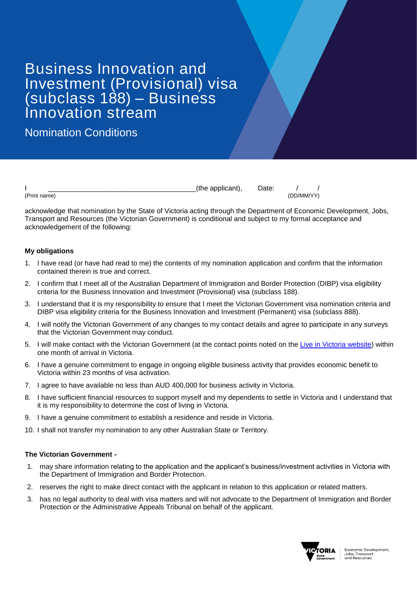# Business Innovation and Investment (Provisional) visa (subclass 188) – Business Innovation stream

Nomination Conditions

|                           | - -<br>me<br>,,,,<br>⊸<br>$-111$ |                |
|---------------------------|----------------------------------|----------------|
| (Print<br>------<br>name: |                                  | <b>J/NANA/</b> |

acknowledge that nomination by the State of Victoria acting through the Department of Economic Development, Jobs, Transport and Resources (the Victorian Government) is conditional and subject to my formal acceptance and acknowledgement of the following:

## **My obligations**

- 1. I have read (or have had read to me) the contents of my nomination application and confirm that the information contained therein is true and correct.
- 2. I confirm that I meet all of the Australian Department of Immigration and Border Protection (DIBP) visa eligibility criteria for the Business Innovation and Investment (Provisional) visa (subclass 188).
- 3. I understand that it is my responsibility to ensure that I meet the Victorian Government visa nomination criteria and DIBP visa eligibility criteria for the Business Innovation and Investment (Permanent) visa (subclass 888).
- 4. I will notify the Victorian Government of any changes to my contact details and agree to participate in any surveys that the Victorian Government may conduct.
- 5. I will make contact with the Victorian Government (at the contact points noted on the [Live in Victoria website\)](http://www.liveinvictoria.vic.gov.au/) within one month of arrival in Victoria.
- 6. I have a genuine commitment to engage in ongoing eligible business activity that provides economic benefit to Victoria within 23 months of visa activation.
- 7. I agree to have available no less than AUD 400,000 for business activity in Victoria.
- 8. I have sufficient financial resources to support myself and my dependents to settle in Victoria and I understand that it is my responsibility to determine the cost of living in Victoria.
- 9. I have a genuine commitment to establish a residence and reside in Victoria.
- 10. I shall not transfer my nomination to any other Australian State or Territory.

## **The Victorian Government -**

- 1. may share information relating to the application and the applicant's business/investment activities in Victoria with the Department of Immigration and Border Protection.
- 2. reserves the right to make direct contact with the applicant in relation to this application or related matters.
- 3. has no legal authority to deal with visa matters and will not advocate to the Department of Immigration and Border Protection or the Administrative Appeals Tribunal on behalf of the applicant.